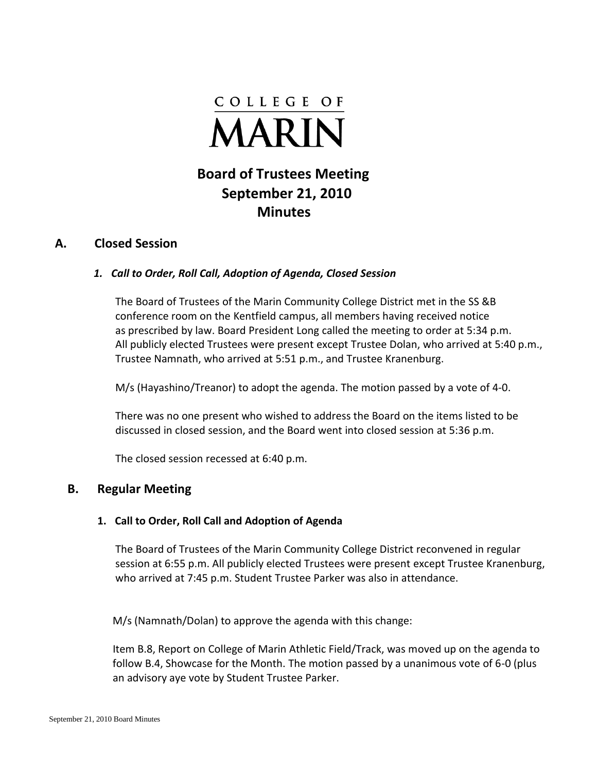# COLLEGE OF **MARIN**

# **Board of Trustees Meeting September 21, 2010 Minutes**

# **A. Closed Session**

# *1. Call to Order, Roll Call, Adoption of Agenda, Closed Session*

 The Board of Trustees of the Marin Community College District met in the SS &B conference room on the Kentfield campus, all members having received notice as prescribed by law. Board President Long called the meeting to order at 5:34 p.m. All publicly elected Trustees were present except Trustee Dolan, who arrived at 5:40 p.m., Trustee Namnath, who arrived at 5:51 p.m., and Trustee Kranenburg.

M/s (Hayashino/Treanor) to adopt the agenda. The motion passed by a vote of 4-0.

 There was no one present who wished to address the Board on the items listed to be discussed in closed session, and the Board went into closed session at 5:36 p.m.

The closed session recessed at 6:40 p.m.

# **B. Regular Meeting**

#### **1. Call to Order, Roll Call and Adoption of Agenda**

 The Board of Trustees of the Marin Community College District reconvened in regular session at 6:55 p.m. All publicly elected Trustees were present except Trustee Kranenburg, who arrived at 7:45 p.m. Student Trustee Parker was also in attendance.

M/s (Namnath/Dolan) to approve the agenda with this change:

 Item B.8, Report on College of Marin Athletic Field/Track, was moved up on the agenda to follow B.4, Showcase for the Month. The motion passed by a unanimous vote of 6-0 (plus an advisory aye vote by Student Trustee Parker.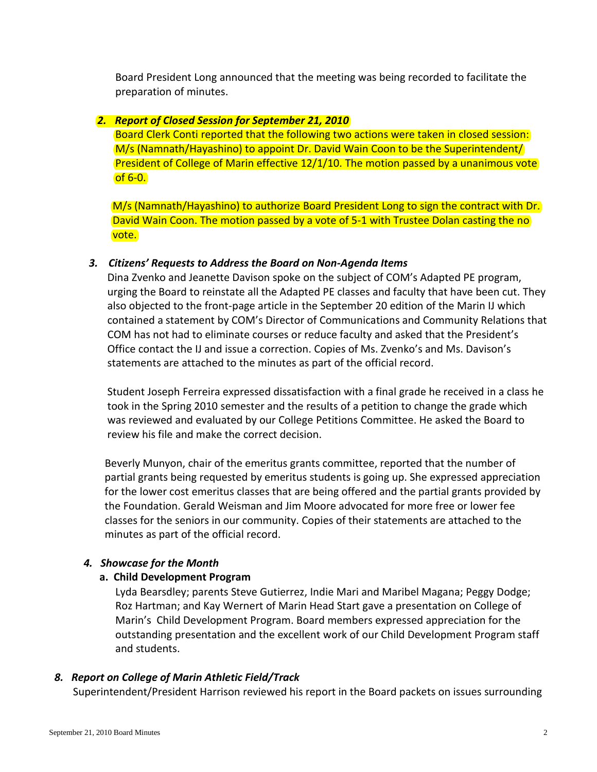Board President Long announced that the meeting was being recorded to facilitate the preparation of minutes.

# *2. Report of Closed Session for September 21, 2010*

 Board Clerk Conti reported that the following two actions were taken in closed session: M/s (Namnath/Hayashino) to appoint Dr. David Wain Coon to be the Superintendent/ President of College of Marin effective 12/1/10. The motion passed by a unanimous vote of 6-0.

 M/s (Namnath/Hayashino) to authorize Board President Long to sign the contract with Dr. David Wain Coon. The motion passed by a vote of 5-1 with Trustee Dolan casting the no vote.

# *3. Citizens' Requests to Address the Board on Non-Agenda Items*

 Dina Zvenko and Jeanette Davison spoke on the subject of COM's Adapted PE program, urging the Board to reinstate all the Adapted PE classes and faculty that have been cut. They also objected to the front-page article in the September 20 edition of the Marin IJ which contained a statement by COM's Director of Communications and Community Relations that COM has not had to eliminate courses or reduce faculty and asked that the President's Office contact the IJ and issue a correction. Copies of Ms. Zvenko's and Ms. Davison's statements are attached to the minutes as part of the official record.

 Student Joseph Ferreira expressed dissatisfaction with a final grade he received in a class he took in the Spring 2010 semester and the results of a petition to change the grade which was reviewed and evaluated by our College Petitions Committee. He asked the Board to review his file and make the correct decision.

 Beverly Munyon, chair of the emeritus grants committee, reported that the number of partial grants being requested by emeritus students is going up. She expressed appreciation for the lower cost emeritus classes that are being offered and the partial grants provided by the Foundation. Gerald Weisman and Jim Moore advocated for more free or lower fee classes for the seniors in our community. Copies of their statements are attached to the minutes as part of the official record.

# *4. Showcase for the Month*

#### **a. Child Development Program**

 Lyda Bearsdley; parents Steve Gutierrez, Indie Mari and Maribel Magana; Peggy Dodge; Roz Hartman; and Kay Wernert of Marin Head Start gave a presentation on College of Marin's Child Development Program. Board members expressed appreciation for the outstanding presentation and the excellent work of our Child Development Program staff and students.

#### *8. Report on College of Marin Athletic Field/Track*

Superintendent/President Harrison reviewed his report in the Board packets on issues surrounding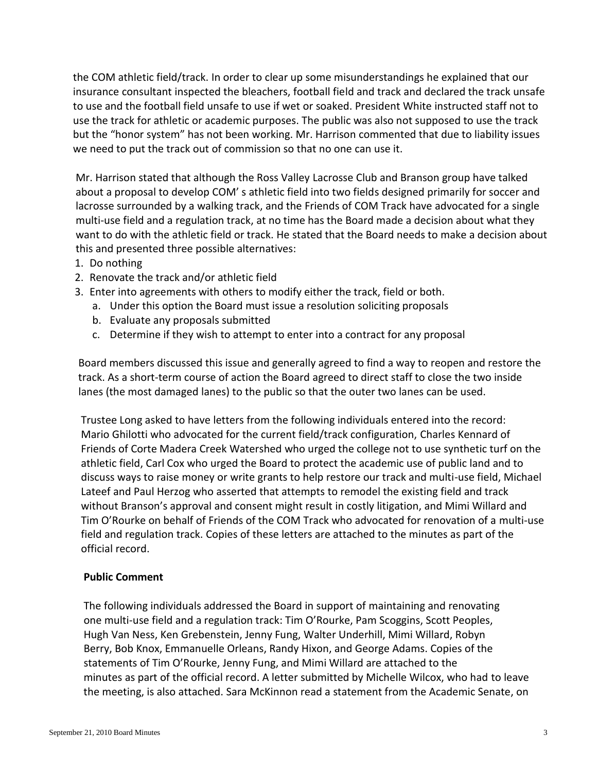the COM athletic field/track. In order to clear up some misunderstandings he explained that our insurance consultant inspected the bleachers, football field and track and declared the track unsafe to use and the football field unsafe to use if wet or soaked. President White instructed staff not to use the track for athletic or academic purposes. The public was also not supposed to use the track but the "honor system" has not been working. Mr. Harrison commented that due to liability issues we need to put the track out of commission so that no one can use it.

 Mr. Harrison stated that although the Ross Valley Lacrosse Club and Branson group have talked about a proposal to develop COM' s athletic field into two fields designed primarily for soccer and lacrosse surrounded by a walking track, and the Friends of COM Track have advocated for a single multi-use field and a regulation track, at no time has the Board made a decision about what they want to do with the athletic field or track. He stated that the Board needs to make a decision about this and presented three possible alternatives:

- 1. Do nothing
- 2. Renovate the track and/or athletic field
- 3. Enter into agreements with others to modify either the track, field or both.
	- a. Under this option the Board must issue a resolution soliciting proposals
	- b. Evaluate any proposals submitted
	- c. Determine if they wish to attempt to enter into a contract for any proposal

 Board members discussed this issue and generally agreed to find a way to reopen and restore the track. As a short-term course of action the Board agreed to direct staff to close the two inside lanes (the most damaged lanes) to the public so that the outer two lanes can be used.

 Trustee Long asked to have letters from the following individuals entered into the record: Mario Ghilotti who advocated for the current field/track configuration, Charles Kennard of Friends of Corte Madera Creek Watershed who urged the college not to use synthetic turf on the athletic field, Carl Cox who urged the Board to protect the academic use of public land and to discuss ways to raise money or write grants to help restore our track and multi-use field, Michael Lateef and Paul Herzog who asserted that attempts to remodel the existing field and track without Branson's approval and consent might result in costly litigation, and Mimi Willard and Tim O'Rourke on behalf of Friends of the COM Track who advocated for renovation of a multi-use field and regulation track. Copies of these letters are attached to the minutes as part of the official record.

#### **Public Comment**

 The following individuals addressed the Board in support of maintaining and renovating one multi-use field and a regulation track: Tim O'Rourke, Pam Scoggins, Scott Peoples, Hugh Van Ness, Ken Grebenstein, Jenny Fung, Walter Underhill, Mimi Willard, Robyn Berry, Bob Knox, Emmanuelle Orleans, Randy Hixon, and George Adams. Copies of the statements of Tim O'Rourke, Jenny Fung, and Mimi Willard are attached to the minutes as part of the official record. A letter submitted by Michelle Wilcox, who had to leave the meeting, is also attached. Sara McKinnon read a statement from the Academic Senate, on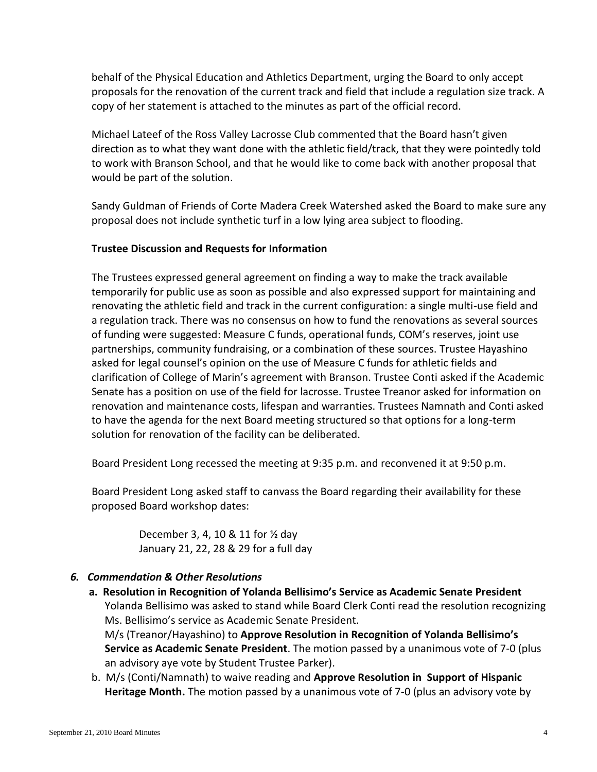behalf of the Physical Education and Athletics Department, urging the Board to only accept proposals for the renovation of the current track and field that include a regulation size track. A copy of her statement is attached to the minutes as part of the official record.

 Michael Lateef of the Ross Valley Lacrosse Club commented that the Board hasn't given direction as to what they want done with the athletic field/track, that they were pointedly told to work with Branson School, and that he would like to come back with another proposal that would be part of the solution.

 Sandy Guldman of Friends of Corte Madera Creek Watershed asked the Board to make sure any proposal does not include synthetic turf in a low lying area subject to flooding.

# **Trustee Discussion and Requests for Information**

 The Trustees expressed general agreement on finding a way to make the track available temporarily for public use as soon as possible and also expressed support for maintaining and renovating the athletic field and track in the current configuration: a single multi-use field and a regulation track. There was no consensus on how to fund the renovations as several sources of funding were suggested: Measure C funds, operational funds, COM's reserves, joint use partnerships, community fundraising, or a combination of these sources. Trustee Hayashino asked for legal counsel's opinion on the use of Measure C funds for athletic fields and clarification of College of Marin's agreement with Branson. Trustee Conti asked if the Academic Senate has a position on use of the field for lacrosse. Trustee Treanor asked for information on renovation and maintenance costs, lifespan and warranties. Trustees Namnath and Conti asked to have the agenda for the next Board meeting structured so that options for a long-term solution for renovation of the facility can be deliberated.

Board President Long recessed the meeting at 9:35 p.m. and reconvened it at 9:50 p.m.

 Board President Long asked staff to canvass the Board regarding their availability for these proposed Board workshop dates:

> December 3, 4, 10 & 11 for ½ day January 21, 22, 28 & 29 for a full day

# *6. Commendation & Other Resolutions*

- **a. Resolution in Recognition of Yolanda Bellisimo's Service as Academic Senate President** Yolanda Bellisimo was asked to stand while Board Clerk Conti read the resolution recognizing Ms. Bellisimo's service as Academic Senate President. M/s (Treanor/Hayashino) to **Approve Resolution in Recognition of Yolanda Bellisimo's Service as Academic Senate President**. The motion passed by a unanimous vote of 7-0 (plus an advisory aye vote by Student Trustee Parker).
	- b. M/s (Conti/Namnath) to waive reading and **Approve Resolution in Support of Hispanic Heritage Month.** The motion passed by a unanimous vote of 7-0 (plus an advisory vote by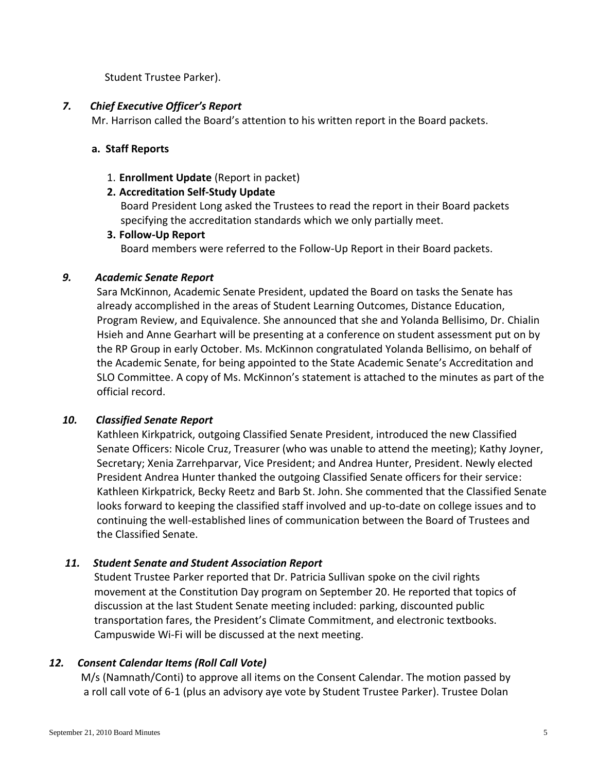Student Trustee Parker).

# *7. Chief Executive Officer's Report*

Mr. Harrison called the Board's attention to his written report in the Board packets.

# **a. Staff Reports**

1. **Enrollment Update** (Report in packet)

# **2. Accreditation Self-Study Update**

 Board President Long asked the Trustees to read the report in their Board packets specifying the accreditation standards which we only partially meet.

#### **3. Follow-Up Report**

Board members were referred to the Follow-Up Report in their Board packets.

# *9. Academic Senate Report*

 Sara McKinnon, Academic Senate President, updated the Board on tasks the Senate has already accomplished in the areas of Student Learning Outcomes, Distance Education, Program Review, and Equivalence. She announced that she and Yolanda Bellisimo, Dr. Chialin Hsieh and Anne Gearhart will be presenting at a conference on student assessment put on by the RP Group in early October. Ms. McKinnon congratulated Yolanda Bellisimo, on behalf of the Academic Senate, for being appointed to the State Academic Senate's Accreditation and SLO Committee. A copy of Ms. McKinnon's statement is attached to the minutes as part of the official record.

#### *10. Classified Senate Report*

 Kathleen Kirkpatrick, outgoing Classified Senate President, introduced the new Classified Senate Officers: Nicole Cruz, Treasurer (who was unable to attend the meeting); Kathy Joyner, Secretary; Xenia Zarrehparvar, Vice President; and Andrea Hunter, President. Newly elected President Andrea Hunter thanked the outgoing Classified Senate officers for their service: Kathleen Kirkpatrick, Becky Reetz and Barb St. John. She commented that the Classified Senate looks forward to keeping the classified staff involved and up-to-date on college issues and to continuing the well-established lines of communication between the Board of Trustees and the Classified Senate.

# *11. Student Senate and Student Association Report*

 Student Trustee Parker reported that Dr. Patricia Sullivan spoke on the civil rights movement at the Constitution Day program on September 20. He reported that topics of discussion at the last Student Senate meeting included: parking, discounted public transportation fares, the President's Climate Commitment, and electronic textbooks. Campuswide Wi-Fi will be discussed at the next meeting.

# *12. Consent Calendar Items (Roll Call Vote)*

 M/s (Namnath/Conti) to approve all items on the Consent Calendar. The motion passed by a roll call vote of 6-1 (plus an advisory aye vote by Student Trustee Parker). Trustee Dolan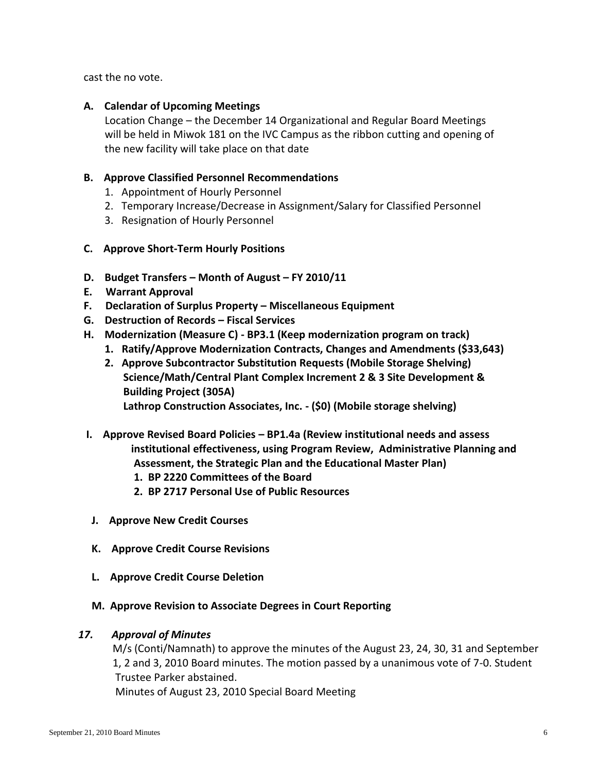cast the no vote.

# **A. Calendar of Upcoming Meetings**

 Location Change – the December 14 Organizational and Regular Board Meetings will be held in Miwok 181 on the IVC Campus as the ribbon cutting and opening of the new facility will take place on that date

# **B. Approve Classified Personnel Recommendations**

- 1. Appointment of Hourly Personnel
- 2. Temporary Increase/Decrease in Assignment/Salary for Classified Personnel
- 3. Resignation of Hourly Personnel

# **C. Approve Short-Term Hourly Positions**

- **D. Budget Transfers – Month of August – FY 2010/11**
- **E. Warrant Approval**
- **F. Declaration of Surplus Property – Miscellaneous Equipment**
- **G. Destruction of Records – Fiscal Services**
- **H. Modernization (Measure C) - BP3.1 (Keep modernization program on track)** 
	- **1. Ratify/Approve Modernization Contracts, Changes and Amendments (\$33,643)**
	- **2. Approve Subcontractor Substitution Requests (Mobile Storage Shelving) Science/Math/Central Plant Complex Increment 2 & 3 Site Development & Building Project (305A)**

 **Lathrop Construction Associates, Inc. - (\$0) (Mobile storage shelving)**

- **I. Approve Revised Board Policies – BP1.4a (Review institutional needs and assess institutional effectiveness, using Program Review, Administrative Planning and Assessment, the Strategic Plan and the Educational Master Plan)**
	- **1. BP 2220 Committees of the Board**
	- **2. BP 2717 Personal Use of Public Resources**
- **J. Approve New Credit Courses**
- **K. Approve Credit Course Revisions**
- **L. Approve Credit Course Deletion**
- **M. Approve Revision to Associate Degrees in Court Reporting**

#### *17. Approval of Minutes*

 M/s (Conti/Namnath) to approve the minutes of the August 23, 24, 30, 31 and September 1, 2 and 3, 2010 Board minutes. The motion passed by a unanimous vote of 7-0. Student Trustee Parker abstained. Minutes of August 23, 2010 Special Board Meeting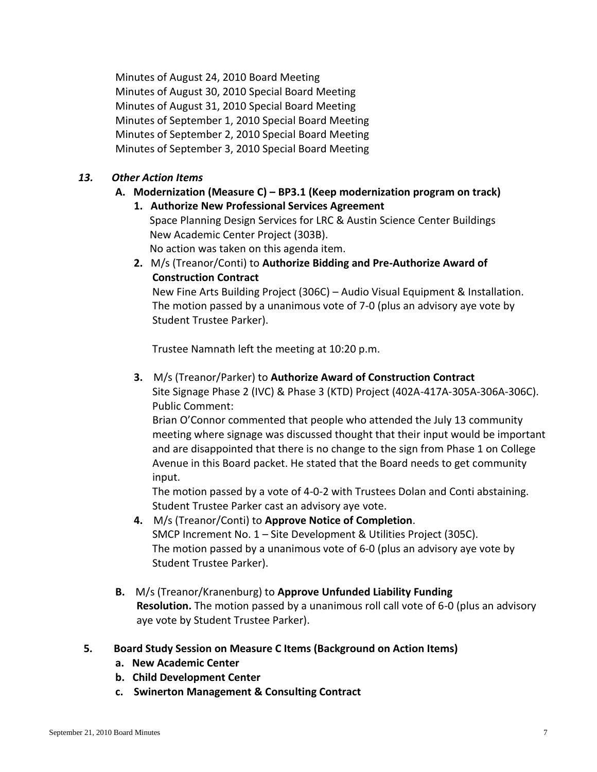Minutes of August 24, 2010 Board Meeting Minutes of August 30, 2010 Special Board Meeting Minutes of August 31, 2010 Special Board Meeting Minutes of September 1, 2010 Special Board Meeting Minutes of September 2, 2010 Special Board Meeting Minutes of September 3, 2010 Special Board Meeting

# *13. Other Action Items*

# **A. Modernization (Measure C) – BP3.1 (Keep modernization program on track)**

- **1. Authorize New Professional Services Agreement** Space Planning Design Services for LRC & Austin Science Center Buildings New Academic Center Project (303B). No action was taken on this agenda item.
- **2.** M/s (Treanor/Conti) to **Authorize Bidding and Pre-Authorize Award of Construction Contract**

 New Fine Arts Building Project (306C) – Audio Visual Equipment & Installation. The motion passed by a unanimous vote of 7-0 (plus an advisory aye vote by Student Trustee Parker).

Trustee Namnath left the meeting at 10:20 p.m.

 **3.** M/s (Treanor/Parker) to **Authorize Award of Construction Contract** Site Signage Phase 2 (IVC) & Phase 3 (KTD) Project (402A-417A-305A-306A-306C).

Public Comment:

 Brian O'Connor commented that people who attended the July 13 community meeting where signage was discussed thought that their input would be important and are disappointed that there is no change to the sign from Phase 1 on College Avenue in this Board packet. He stated that the Board needs to get community input.

 The motion passed by a vote of 4-0-2 with Trustees Dolan and Conti abstaining. Student Trustee Parker cast an advisory aye vote.

- **4.** M/s (Treanor/Conti) to **Approve Notice of Completion**. SMCP Increment No. 1 – Site Development & Utilities Project (305C). The motion passed by a unanimous vote of 6-0 (plus an advisory aye vote by Student Trustee Parker).
- **B.** M/s (Treanor/Kranenburg) to **Approve Unfunded Liability Funding Resolution.** The motion passed by a unanimous roll call vote of 6-0 (plus an advisory aye vote by Student Trustee Parker).
- **5. Board Study Session on Measure C Items (Background on Action Items)**
	- **a. New Academic Center**
	- **b. Child Development Center**
	- **c. Swinerton Management & Consulting Contract**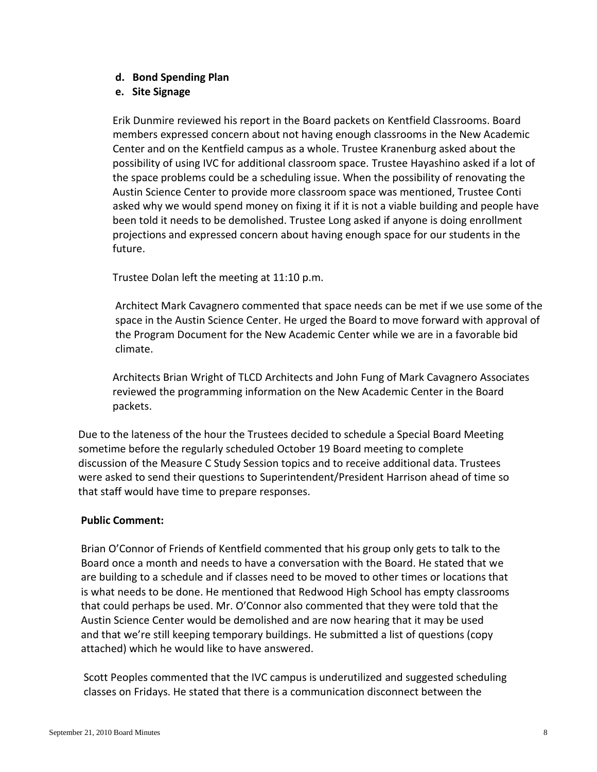#### **d. Bond Spending Plan**

#### **e. Site Signage**

 Erik Dunmire reviewed his report in the Board packets on Kentfield Classrooms. Board members expressed concern about not having enough classrooms in the New Academic Center and on the Kentfield campus as a whole. Trustee Kranenburg asked about the possibility of using IVC for additional classroom space. Trustee Hayashino asked if a lot of the space problems could be a scheduling issue. When the possibility of renovating the Austin Science Center to provide more classroom space was mentioned, Trustee Conti asked why we would spend money on fixing it if it is not a viable building and people have been told it needs to be demolished. Trustee Long asked if anyone is doing enrollment projections and expressed concern about having enough space for our students in the future.

Trustee Dolan left the meeting at 11:10 p.m.

 Architect Mark Cavagnero commented that space needs can be met if we use some of the space in the Austin Science Center. He urged the Board to move forward with approval of the Program Document for the New Academic Center while we are in a favorable bid climate.

 Architects Brian Wright of TLCD Architects and John Fung of Mark Cavagnero Associates reviewed the programming information on the New Academic Center in the Board packets.

 Due to the lateness of the hour the Trustees decided to schedule a Special Board Meeting sometime before the regularly scheduled October 19 Board meeting to complete discussion of the Measure C Study Session topics and to receive additional data. Trustees were asked to send their questions to Superintendent/President Harrison ahead of time so that staff would have time to prepare responses.

#### **Public Comment:**

 Brian O'Connor of Friends of Kentfield commented that his group only gets to talk to the Board once a month and needs to have a conversation with the Board. He stated that we are building to a schedule and if classes need to be moved to other times or locations that is what needs to be done. He mentioned that Redwood High School has empty classrooms that could perhaps be used. Mr. O'Connor also commented that they were told that the Austin Science Center would be demolished and are now hearing that it may be used and that we're still keeping temporary buildings. He submitted a list of questions (copy attached) which he would like to have answered.

 Scott Peoples commented that the IVC campus is underutilized and suggested scheduling classes on Fridays. He stated that there is a communication disconnect between the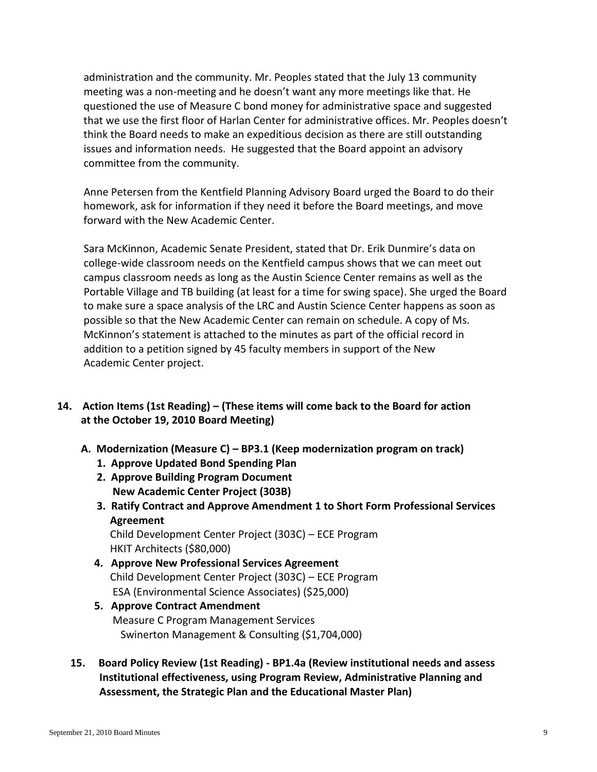administration and the community. Mr. Peoples stated that the July 13 community meeting was a non-meeting and he doesn't want any more meetings like that. He questioned the use of Measure C bond money for administrative space and suggested that we use the first floor of Harlan Center for administrative offices. Mr. Peoples doesn't think the Board needs to make an expeditious decision as there are still outstanding issues and information needs. He suggested that the Board appoint an advisory committee from the community.

 Anne Petersen from the Kentfield Planning Advisory Board urged the Board to do their homework, ask for information if they need it before the Board meetings, and move forward with the New Academic Center.

 Sara McKinnon, Academic Senate President, stated that Dr. Erik Dunmire's data on college-wide classroom needs on the Kentfield campus shows that we can meet out campus classroom needs as long as the Austin Science Center remains as well as the Portable Village and TB building (at least for a time for swing space). She urged the Board to make sure a space analysis of the LRC and Austin Science Center happens as soon as possible so that the New Academic Center can remain on schedule. A copy of Ms. McKinnon's statement is attached to the minutes as part of the official record in addition to a petition signed by 45 faculty members in support of the New Academic Center project.

- **14. Action Items (1st Reading) – (These items will come back to the Board for action at the October 19, 2010 Board Meeting)**
	- **A. Modernization (Measure C) – BP3.1 (Keep modernization program on track)** 
		- **1. Approve Updated Bond Spending Plan**
		- **2. Approve Building Program Document New Academic Center Project (303B)**
		- **3. Ratify Contract and Approve Amendment 1 to Short Form Professional Services Agreement**

 Child Development Center Project (303C) – ECE Program HKIT Architects (\$80,000)

- **4. Approve New Professional Services Agreement** Child Development Center Project (303C) – ECE Program ESA (Environmental Science Associates) (\$25,000)
- **5. Approve Contract Amendment** Measure C Program Management Services Swinerton Management & Consulting (\$1,704,000)
- **15. Board Policy Review (1st Reading) - BP1.4a (Review institutional needs and assess Institutional effectiveness, using Program Review, Administrative Planning and Assessment, the Strategic Plan and the Educational Master Plan)**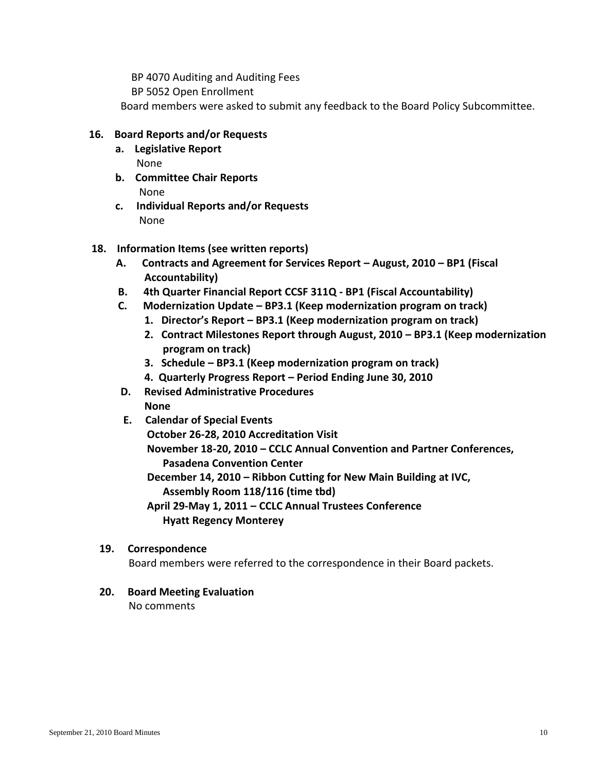BP 4070 Auditing and Auditing Fees BP 5052 Open Enrollment Board members were asked to submit any feedback to the Board Policy Subcommittee.

#### **16. Board Reports and/or Requests**

- **a. Legislative Report** None
- **b. Committee Chair Reports** None
- **c. Individual Reports and/or Requests** None

#### **18. Information Items (see written reports)**

- **A. Contracts and Agreement for Services Report – August, 2010 – BP1 (Fiscal Accountability)**
- **B. 4th Quarter Financial Report CCSF 311Q - BP1 (Fiscal Accountability)**
- **C. Modernization Update – BP3.1 (Keep modernization program on track)** 
	- **1. Director's Report – BP3.1 (Keep modernization program on track)**
	- **2. Contract Milestones Report through August, 2010 – BP3.1 (Keep modernization program on track)**
	- **3. Schedule – BP3.1 (Keep modernization program on track)**
	- **4. Quarterly Progress Report – Period Ending June 30, 2010**
- **D. Revised Administrative Procedures None**
- **E. Calendar of Special Events October 26-28, 2010 Accreditation Visit November 18-20, 2010 – CCLC Annual Convention and Partner Conferences, Pasadena Convention Center December 14, 2010 – Ribbon Cutting for New Main Building at IVC, Assembly Room 118/116 (time tbd) April 29-May 1, 2011 – CCLC Annual Trustees Conference Hyatt Regency Monterey**

#### **19. Correspondence**

Board members were referred to the correspondence in their Board packets.

**20. Board Meeting Evaluation**

No comments